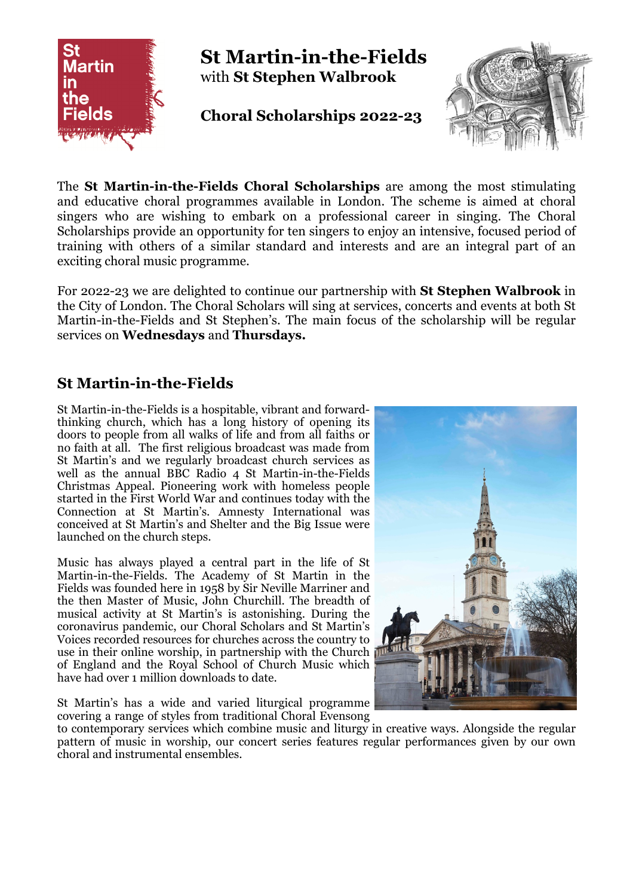

The **St Martin-in-the-Fields Choral Scholarships** are among the most stimulating and educative choral programmes available in London. The scheme is aimed at choral singers who are wishing to embark on a professional career in singing. The Choral Scholarships provide an opportunity for ten singers to enjoy an intensive, focused period of training with others of a similar standard and interests and are an integral part of an exciting choral music programme.

For 2022-23 we are delighted to continue our partnership with **St Stephen Walbrook** in the City of London. The Choral Scholars will sing at services, concerts and events at both St Martin-in-the-Fields and St Stephen's. The main focus of the scholarship will be regular services on **Wednesdays** and **Thursdays.**

### **St Martin-in-the-Fields**

St Martin-in-the-Fields is a hospitable, vibrant and forwardthinking church, which has a long history of opening its doors to people from all walks of life and from all faiths or no faith at all. The first religious broadcast was made from St Martin's and we regularly broadcast church services as well as the annual BBC Radio 4 St Martin-in-the-Fields Christmas Appeal. Pioneering work with homeless people started in the First World War and continues today with the Connection at St Martin's. Amnesty International was conceived at St Martin's and Shelter and the Big Issue were launched on the church steps.

Music has always played a central part in the life of St Martin-in-the-Fields. The Academy of St Martin in the Fields was founded here in 1958 by Sir Neville Marriner and the then Master of Music, John Churchill. The breadth of musical activity at St Martin's is astonishing. During the coronavirus pandemic, our Choral Scholars and St Martin's Voices recorded resources for churches across the country to use in their online worship, in partnership with the Church  $\mathbb{P}^1$ of England and the Royal School of Church Music which have had over 1 million downloads to date.

St Martin's has a wide and varied liturgical programme covering a range of styles from traditional Choral Evensong



to contemporary services which combine music and liturgy in creative ways. Alongside the regular pattern of music in worship, our concert series features regular performances given by our own choral and instrumental ensembles.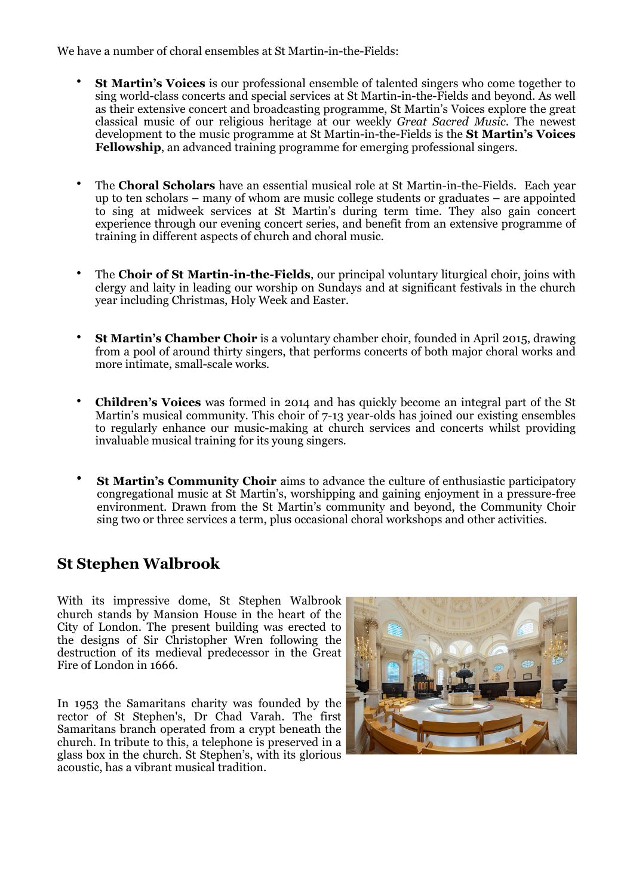We have a number of choral ensembles at St Martin-in-the-Fields:

- **St Martin's Voices** is our professional ensemble of talented singers who come together to sing world-class concerts and special services at St Martin-in-the-Fields and beyond. As well as their extensive concert and broadcasting programme, St Martin's Voices explore the great classical music of our religious heritage at our weekly *Great Sacred Music*. The newest development to the music programme at St Martin-in-the-Fields is the **St Martin's Voices Fellowship**, an advanced training programme for emerging professional singers.
- The **Choral Scholars** have an essential musical role at St Martin-in-the-Fields. Each year up to ten scholars – many of whom are music college students or graduates – are appointed to sing at midweek services at St Martin's during term time. They also gain concert experience through our evening concert series, and benefit from an extensive programme of training in different aspects of church and choral music.
- The **Choir of St Martin-in-the-Fields**, our principal voluntary liturgical choir, joins with clergy and laity in leading our worship on Sundays and at significant festivals in the church year including Christmas, Holy Week and Easter.
- **St Martin's Chamber Choir** is a voluntary chamber choir, founded in April 2015, drawing from a pool of around thirty singers, that performs concerts of both major choral works and more intimate, small-scale works.
- **Children's Voices** was formed in 2014 and has quickly become an integral part of the St Martin's musical community. This choir of 7-13 year-olds has joined our existing ensembles to regularly enhance our music-making at church services and concerts whilst providing invaluable musical training for its young singers.
- **St Martin's Community Choir** aims to advance the culture of enthusiastic participatory congregational music at St Martin's, worshipping and gaining enjoyment in a pressure-free environment. Drawn from the St Martin's community and beyond, the Community Choir sing two or three services a term, plus occasional choral workshops and other activities.

### **St Stephen Walbrook**

With its impressive dome, St Stephen Walbrook church stands by Mansion House in the heart of the City of London. The present building was erected to the designs of Sir Christopher Wren following the destruction of its medieval predecessor in the Great Fire of London in 1666.

In 1953 the Samaritans charity was founded by the rector of St Stephen's, Dr Chad Varah. The first Samaritans branch operated from a crypt beneath the church. In tribute to this, a telephone is preserved in a glass box in the church. St Stephen's, with its glorious acoustic, has a vibrant musical tradition.

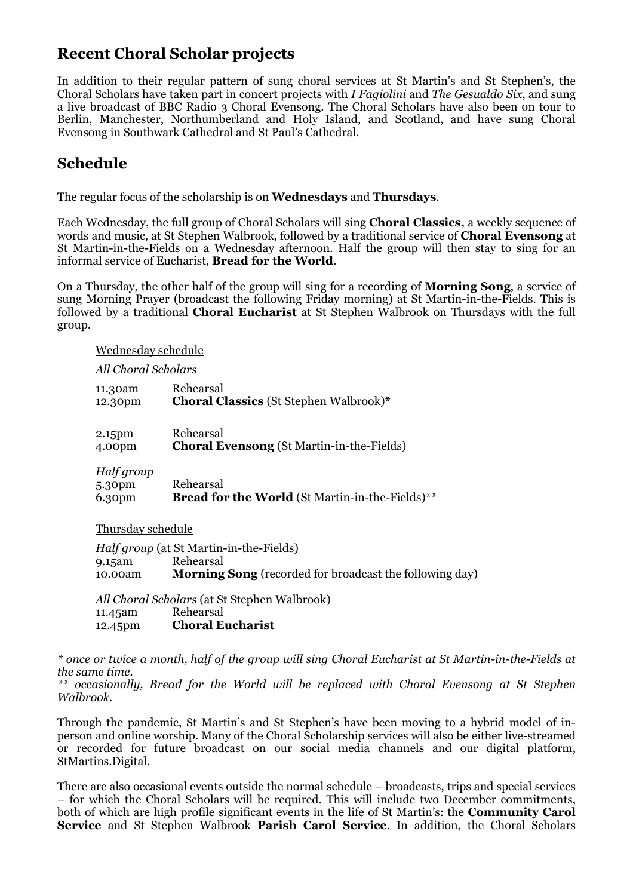### **Recent Choral Scholar projects**

In addition to their regular pattern of sung choral services at St Martin's and St Stephen's, the Choral Scholars have taken part in concert projects with *I Fagiolini* and *The Gesualdo Six*, and sung a live broadcast of BBC Radio 3 Choral Evensong. The Choral Scholars have also been on tour to Berlin, Manchester, Northumberland and Holy Island, and Scotland, and have sung Choral Evensong in Southwark Cathedral and St Paul's Cathedral.

# **Schedule**

The regular focus of the scholarship is on **Wednesdays** and **Thursdays**.

Each Wednesday, the full group of Choral Scholars will sing **Choral Classics,** a weekly sequence of words and music, at St Stephen Walbrook, followed by a traditional service of **Choral Evensong** at St Martin-in-the-Fields on a Wednesday afternoon. Half the group will then stay to sing for an informal service of Eucharist, **Bread for the World**.

On a Thursday, the other half of the group will sing for a recording of **Morning Song**, a service of sung Morning Prayer (broadcast the following Friday morning) at St Martin-in-the-Fields. This is followed by a traditional **Choral Eucharist** at St Stephen Walbrook on Thursdays with the full group.

#### Wednesday schedule

#### *All Choral Scholars*

| 11.30am                        | Rehearsal                                                    |
|--------------------------------|--------------------------------------------------------------|
| 12.30pm                        | <b>Choral Classics (St Stephen Walbrook)*</b>                |
| 2.15pm                         | Rehearsal                                                    |
| 4.00pm                         | <b>Choral Evensong</b> (St Martin-in-the-Fields)             |
| Half group<br>5.30pm<br>6.30pm | Rehearsal<br>Bread for the World (St Martin-in-the-Fields)** |

### Thursday schedule

|         | <i>Half group</i> (at St Martin-in-the-Fields)                 |
|---------|----------------------------------------------------------------|
| 9.15am  | Rehearsal                                                      |
| 10.00am | <b>Morning Song</b> (recorded for broadcast the following day) |

*All Choral Scholars* (at St Stephen Walbrook) 11.45am Rehearsal 12.45pm **Choral Eucharist**

*\* once or twice a month, half of the group will sing Choral Eucharist at St Martin-in-the-Fields at the same time.*

*\*\* occasionally, Bread for the World will be replaced with Choral Evensong at St Stephen Walbrook.*

Through the pandemic, St Martin's and St Stephen's have been moving to a hybrid model of inperson and online worship. Many of the Choral Scholarship services will also be either live-streamed or recorded for future broadcast on our social media channels and our digital platform, StMartins.Digital.

There are also occasional events outside the normal schedule – broadcasts, trips and special services – for which the Choral Scholars will be required. This will include two December commitments, both of which are high profile significant events in the life of St Martin's: the **Community Carol Service** and St Stephen Walbrook **Parish Carol Service**. In addition, the Choral Scholars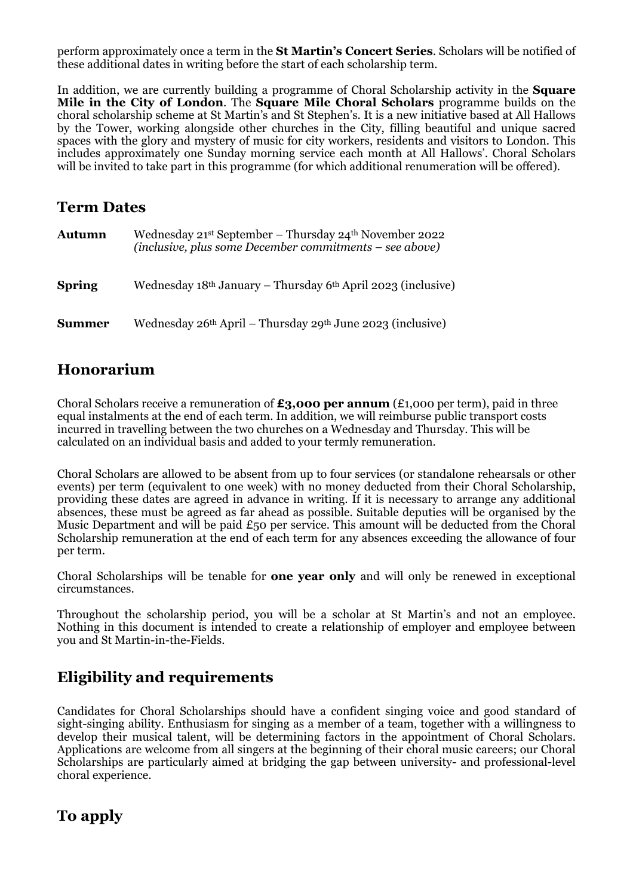perform approximately once a term in the **St Martin's Concert Series**. Scholars will be notified of these additional dates in writing before the start of each scholarship term.

In addition, we are currently building a programme of Choral Scholarship activity in the **Square Mile in the City of London**. The **Square Mile Choral Scholars** programme builds on the choral scholarship scheme at St Martin's and St Stephen's. It is a new initiative based at All Hallows by the Tower, working alongside other churches in the City, filling beautiful and unique sacred spaces with the glory and mystery of music for city workers, residents and visitors to London. This includes approximately one Sunday morning service each month at All Hallows'. Choral Scholars will be invited to take part in this programme (for which additional renumeration will be offered).

### **Term Dates**

| <b>Autumn</b> | Wednesday 21st September - Thursday 24th November 2022<br>(inclusive, plus some December commitments – see above) |
|---------------|-------------------------------------------------------------------------------------------------------------------|
| <b>Spring</b> | Wednesday $18th$ January – Thursday $6th$ April 2023 (inclusive)                                                  |
| <b>Summer</b> | Wednesday $26th$ April – Thursday $29th$ June $2023$ (inclusive)                                                  |

### **Honorarium**

Choral Scholars receive a remuneration of **£3,000 per annum** (£1,000 per term), paid in three equal instalments at the end of each term. In addition, we will reimburse public transport costs incurred in travelling between the two churches on a Wednesday and Thursday. This will be calculated on an individual basis and added to your termly remuneration.

Choral Scholars are allowed to be absent from up to four services (or standalone rehearsals or other events) per term (equivalent to one week) with no money deducted from their Choral Scholarship, providing these dates are agreed in advance in writing. If it is necessary to arrange any additional absences, these must be agreed as far ahead as possible. Suitable deputies will be organised by the Music Department and will be paid  $\epsilon_{50}$  per service. This amount will be deducted from the Choral Scholarship remuneration at the end of each term for any absences exceeding the allowance of four per term.

Choral Scholarships will be tenable for **one year only** and will only be renewed in exceptional circumstances.

Throughout the scholarship period, you will be a scholar at St Martin's and not an employee. Nothing in this document is intended to create a relationship of employer and employee between you and St Martin-in-the-Fields.

# **Eligibility and requirements**

Candidates for Choral Scholarships should have a confident singing voice and good standard of sight-singing ability. Enthusiasm for singing as a member of a team, together with a willingness to develop their musical talent, will be determining factors in the appointment of Choral Scholars. Applications are welcome from all singers at the beginning of their choral music careers; our Choral Scholarships are particularly aimed at bridging the gap between university- and professional-level choral experience.

# **To apply**